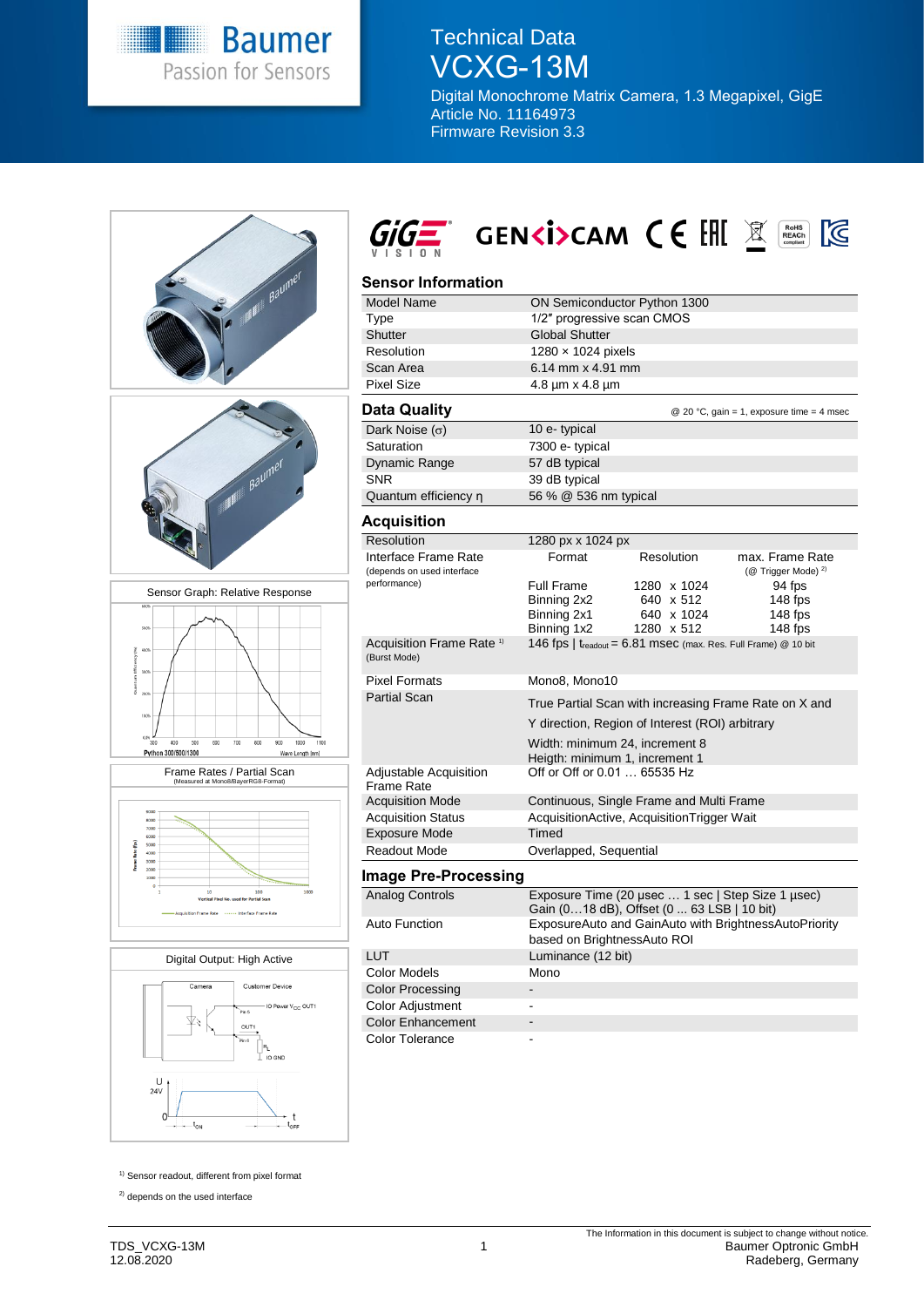

# Technical Data VCXG-13M

Digital Monochrome Matrix Camera, 1.3 Megapixel, GigE Article No. 11164973 Firmware Revision 3.3



<sup>1)</sup> Sensor readout, different from pixel format

<sup>2)</sup> depends on the used interface

 $\cdot$   $\cdot$  $-t_{\rm ON}$  94 fps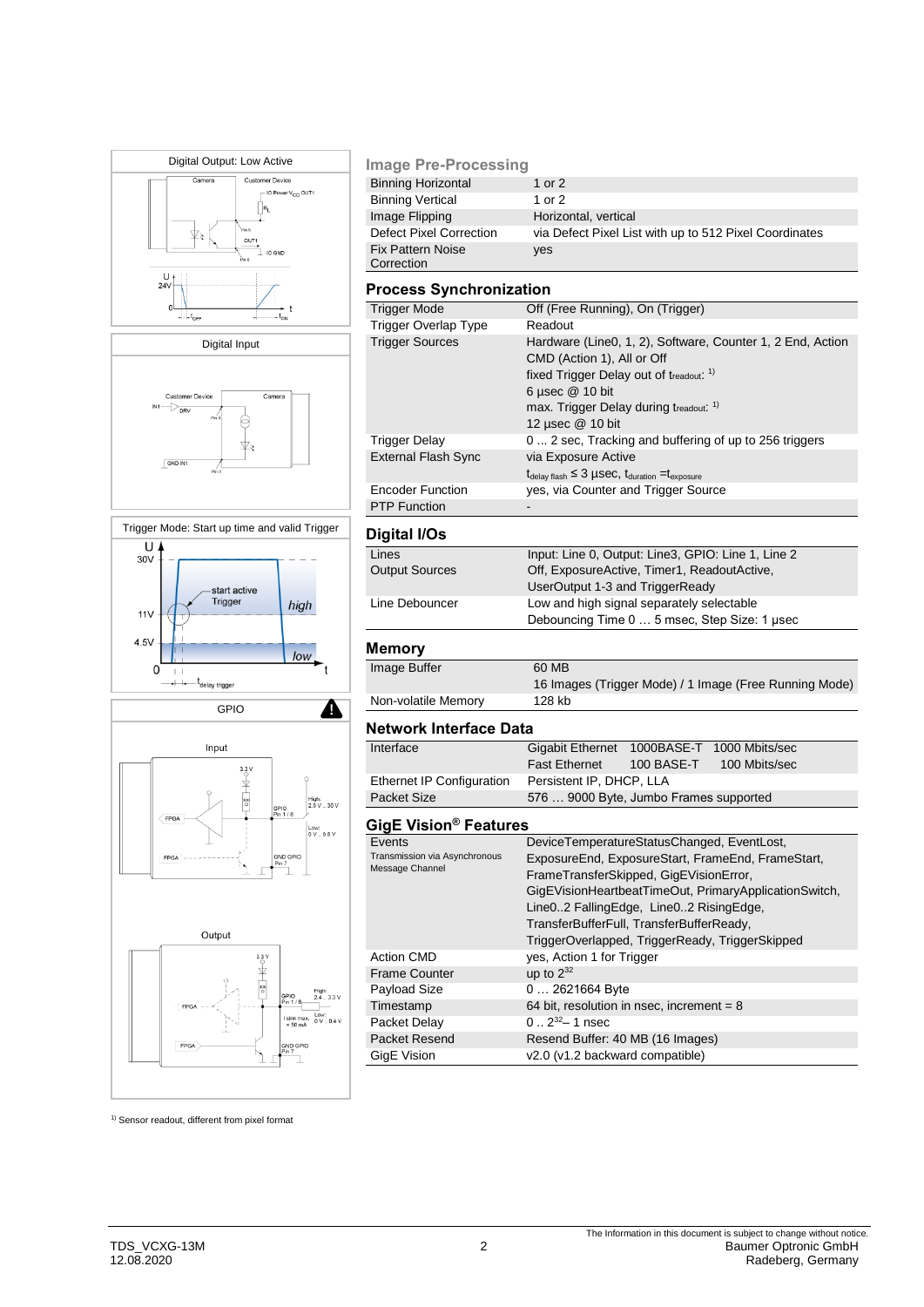







#### **Image Pre-Processing**

| <b>Binning Horizontal</b>      | 1 or 2                                                 |
|--------------------------------|--------------------------------------------------------|
| <b>Binning Vertical</b>        | 1 or 2                                                 |
| Image Flipping                 | Horizontal, vertical                                   |
| <b>Defect Pixel Correction</b> | via Defect Pixel List with up to 512 Pixel Coordinates |
| <b>Fix Pattern Noise</b>       | yes                                                    |
| Correction                     |                                                        |

#### **Process Synchronization**

| Trigger Mode               | Off (Free Running), On (Trigger)                                                  |  |  |
|----------------------------|-----------------------------------------------------------------------------------|--|--|
| Trigger Overlap Type       | Readout                                                                           |  |  |
| <b>Trigger Sources</b>     | Hardware (Line0, 1, 2), Software, Counter 1, 2 End, Action                        |  |  |
|                            | CMD (Action 1), All or Off                                                        |  |  |
|                            | fixed Trigger Delay out of treadout: 1)                                           |  |  |
|                            | 6 µsec $@$ 10 bit                                                                 |  |  |
|                            | max. Trigger Delay during treadout. <sup>1)</sup>                                 |  |  |
|                            | 12 µsec @ 10 bit                                                                  |  |  |
| Trigger Delay              | 0 2 sec, Tracking and buffering of up to 256 triggers                             |  |  |
| <b>External Flash Sync</b> | via Exposure Active                                                               |  |  |
|                            | $t_{\text{delay flash}} \leq 3$ µSeC, $t_{\text{duration}} = t_{\text{exposure}}$ |  |  |
| <b>Encoder Function</b>    | yes, via Counter and Trigger Source                                               |  |  |
| <b>PTP Function</b>        |                                                                                   |  |  |

### **Digital I/Os**

| - - - - - - - - -     |                                                    |  |
|-----------------------|----------------------------------------------------|--|
| Lines                 | Input: Line 0, Output: Line3, GPIO: Line 1, Line 2 |  |
| <b>Output Sources</b> | Off, ExposureActive, Timer1, ReadoutActive,        |  |
|                       | UserOutput 1-3 and TriggerReady                    |  |
| Line Debouncer        | Low and high signal separately selectable          |  |
|                       | Debouncing Time 0  5 msec, Step Size: 1 usec       |  |
|                       |                                                    |  |

## **Memory**

| Image Buffer        | 60 MB                                                  |
|---------------------|--------------------------------------------------------|
|                     | 16 Images (Trigger Mode) / 1 Image (Free Running Mode) |
| Non-volatile Memory | 128 kb                                                 |

#### **Network Interface Data**

| Interface                 | Gigabit Ethernet 1000BASE-T 1000 Mbits/sec |              |               |  |
|---------------------------|--------------------------------------------|--------------|---------------|--|
|                           | <b>Fast Ethernet</b>                       | $100$ BASE-T | 100 Mbits/sec |  |
| Ethernet IP Configuration | Persistent IP, DHCP, LLA                   |              |               |  |
| Packet Size               | 576  9000 Byte, Jumbo Frames supported     |              |               |  |

## **GigE Vision® Features**

|                                                  | OIY⊑ VIƏIVII I GULUIGƏ                                |  |  |  |
|--------------------------------------------------|-------------------------------------------------------|--|--|--|
| Events                                           | DeviceTemperatureStatusChanged, EventLost,            |  |  |  |
| Transmission via Asynchronous<br>Message Channel | ExposureEnd, ExposureStart, FrameEnd, FrameStart,     |  |  |  |
|                                                  | FrameTransferSkipped, GigEVisionError,                |  |  |  |
|                                                  | GigEVisionHeartbeatTimeOut, PrimaryApplicationSwitch, |  |  |  |
|                                                  | Line02 FallingEdge, Line02 RisingEdge,                |  |  |  |
|                                                  | TransferBufferFull, TransferBufferReady,              |  |  |  |
|                                                  | TriggerOverlapped, TriggerReady, TriggerSkipped       |  |  |  |
| <b>Action CMD</b>                                | yes, Action 1 for Trigger                             |  |  |  |
| <b>Frame Counter</b>                             | up to $2^{32}$                                        |  |  |  |
| Payload Size                                     | $02621664$ Byte                                       |  |  |  |
| Timestamp                                        | 64 bit, resolution in nsec, increment = $8$           |  |  |  |
| Packet Delay                                     | $0.2^{32} - 1$ nsec                                   |  |  |  |
| Packet Resend                                    | Resend Buffer: 40 MB (16 Images)                      |  |  |  |
| GigE Vision                                      | v2.0 (v1.2 backward compatible)                       |  |  |  |
|                                                  |                                                       |  |  |  |

<sup>1)</sup> Sensor readout, different from pixel format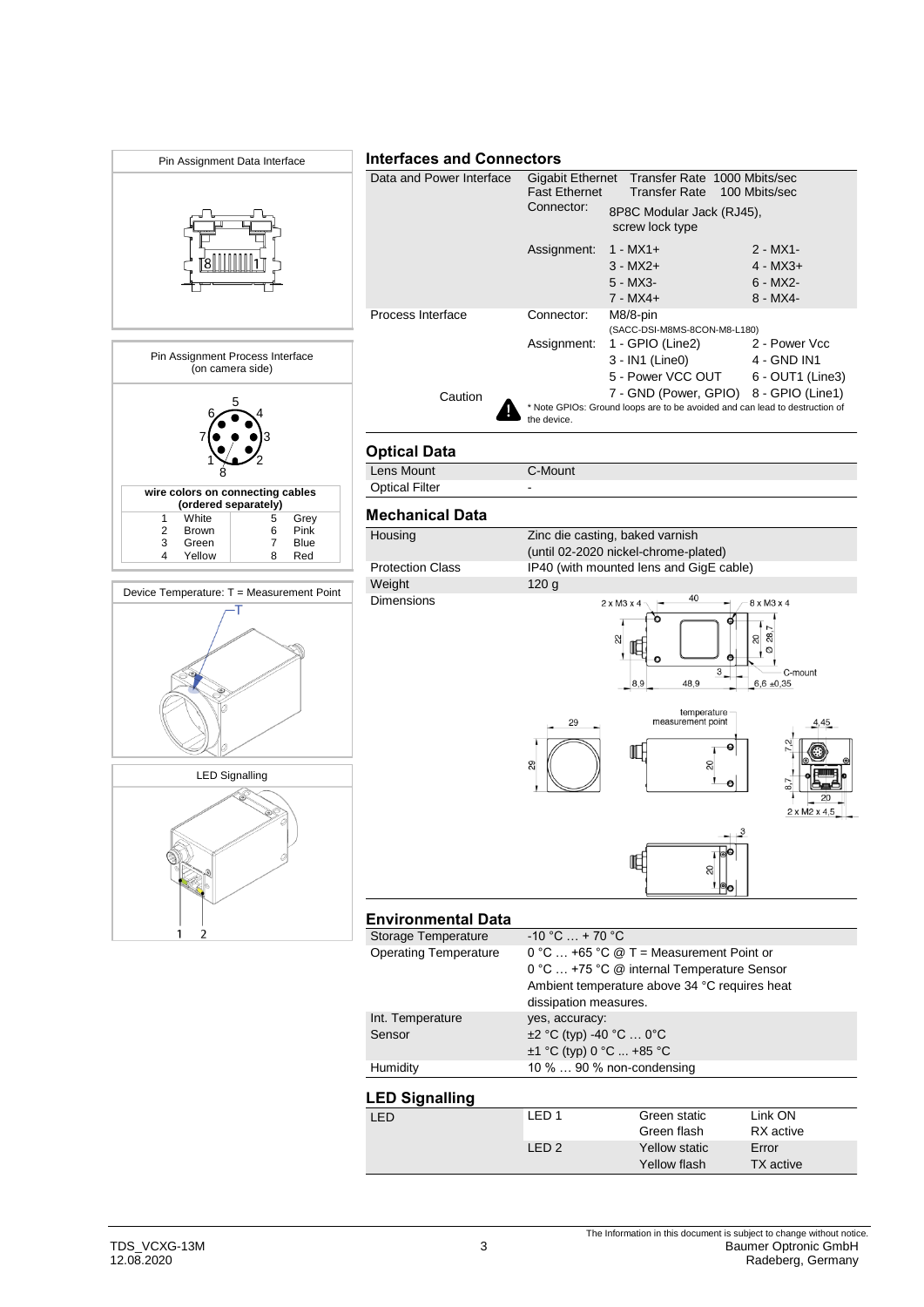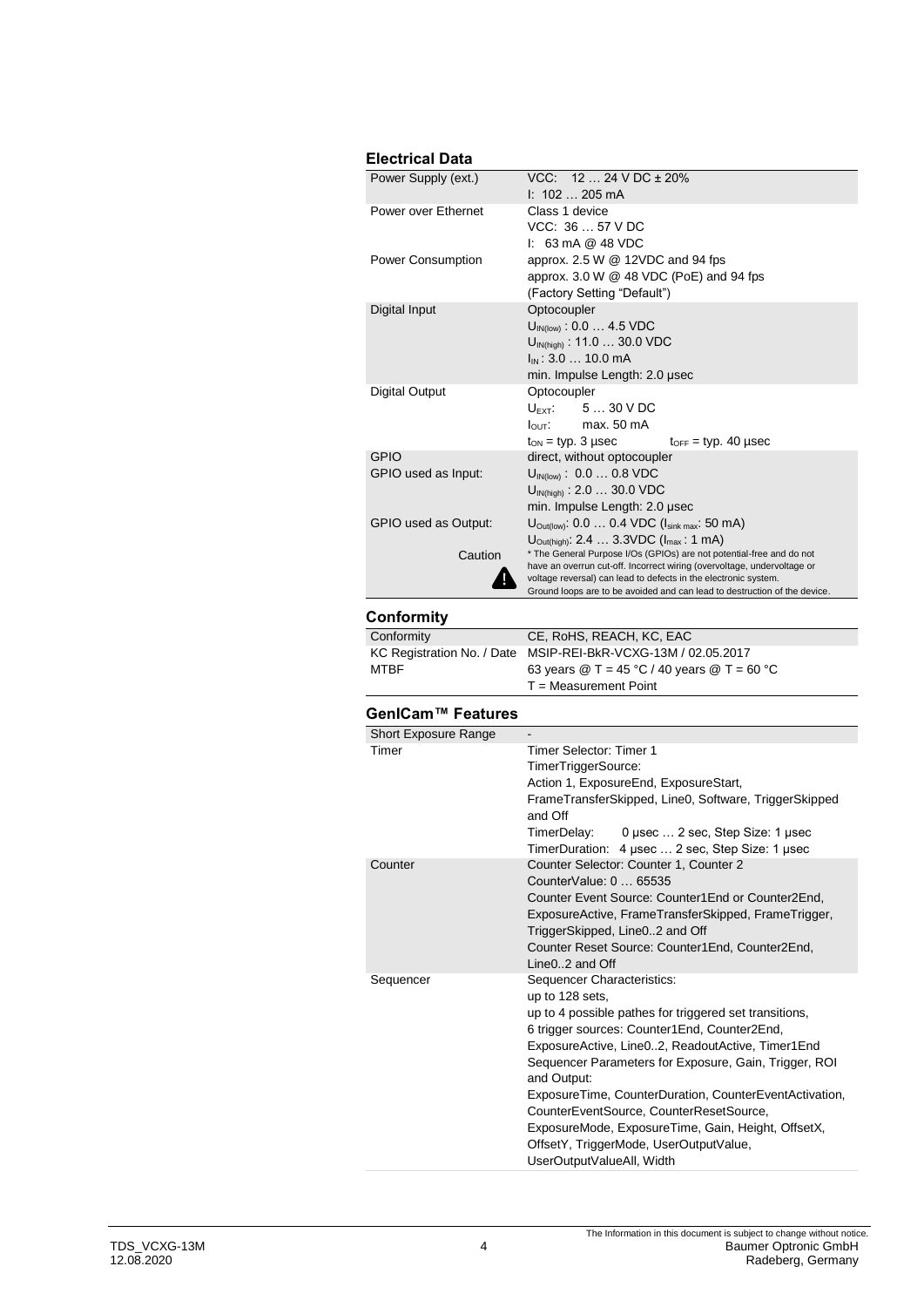## **Electrical Data**

| Power Supply (ext.)   | $VCC: 1224 VDC \pm 20\%$                                                                                                                   |  |  |
|-----------------------|--------------------------------------------------------------------------------------------------------------------------------------------|--|--|
|                       | $1: 102 205 \text{ mA}$                                                                                                                    |  |  |
| Power over Ethernet   | Class 1 device                                                                                                                             |  |  |
|                       | VCC: 3657 VDC                                                                                                                              |  |  |
|                       | $1: 63 \text{ mA} @ 48 \text{ VDC}$                                                                                                        |  |  |
| Power Consumption     | approx. $2.5 W @ 12VDC$ and 94 fps                                                                                                         |  |  |
|                       | approx. $3.0 \text{ W} \text{ } @$ 48 VDC (PoE) and 94 fps                                                                                 |  |  |
|                       | (Factory Setting "Default")                                                                                                                |  |  |
| Digital Input         | Optocoupler                                                                                                                                |  |  |
|                       | $U_{\text{IN(low)}}$ : 0.0  4.5 VDC                                                                                                        |  |  |
|                       | $U_{IN(high)}$ : 11.0  30.0 VDC                                                                                                            |  |  |
|                       | I <sub>IN</sub> : 3.0  10.0 mA                                                                                                             |  |  |
|                       | min. Impulse Length: 2.0 µsec                                                                                                              |  |  |
| <b>Digital Output</b> | Optocoupler                                                                                                                                |  |  |
|                       | $U_{\text{EXT}}$ : 5  30 V DC                                                                                                              |  |  |
|                       | $I_{\text{OUT}}$ : max. 50 mA                                                                                                              |  |  |
|                       | $t_{\text{OFF}}$ = typ. 40 µsec<br>$t_{ON}$ = typ. 3 µsec                                                                                  |  |  |
| GPIO                  | direct, without optocoupler                                                                                                                |  |  |
| GPIO used as Input:   | $U_{IN(low)}$ : 0.0  0.8 VDC                                                                                                               |  |  |
|                       | $U_{\text{IN(high)}}$ : 2.0  30.0 VDC                                                                                                      |  |  |
|                       | min. Impulse Length: 2.0 µsec                                                                                                              |  |  |
| GPIO used as Output:  | $U_{\text{Outflow}}$ : 0.0  0.4 VDC ( $I_{\text{sink max}}$ : 50 mA)                                                                       |  |  |
|                       | $U_{\text{Out(high)}}$ : 2.4  3.3VDC ( $I_{\text{max}}$ : 1 mA)                                                                            |  |  |
| Caution               | * The General Purpose I/Os (GPIOs) are not potential-free and do not                                                                       |  |  |
|                       | have an overrun cut-off. Incorrect wiring (overvoltage, undervoltage or<br>voltage reversal) can lead to defects in the electronic system. |  |  |
|                       | Ground loops are to be avoided and can lead to destruction of the device.                                                                  |  |  |
|                       |                                                                                                                                            |  |  |
| Conformity            |                                                                                                                                            |  |  |

| Conformity                                                    | CE, RoHS, REACH, KC, EAC                                                    |
|---------------------------------------------------------------|-----------------------------------------------------------------------------|
| KC Registration No. / Date MSIP-REI-BkR-VCXG-13M / 02.05.2017 |                                                                             |
| <b>MTBF</b>                                                   | 63 years $\textcircled{2}$ T = 45 °C / 40 years $\textcircled{2}$ T = 60 °C |
|                                                               | $T = Measurement$ Point                                                     |

## **GenICam™ Features**

| <b>Short Exposure Range</b> |                                                                                                                                                                                                                                                                                                                                                                                                                                                                                                                       |  |
|-----------------------------|-----------------------------------------------------------------------------------------------------------------------------------------------------------------------------------------------------------------------------------------------------------------------------------------------------------------------------------------------------------------------------------------------------------------------------------------------------------------------------------------------------------------------|--|
| Timer                       | Timer Selector: Timer 1<br>TimerTriggerSource:<br>Action 1, ExposureEnd, ExposureStart,<br>FrameTransferSkipped, Line0, Software, TriggerSkipped<br>and Off<br>TimerDelay: 0 usec  2 sec, Step Size: 1 usec<br>TimerDuration: 4 usec  2 sec, Step Size: 1 usec                                                                                                                                                                                                                                                        |  |
| Counter                     | Counter Selector: Counter 1, Counter 2<br>CounterValue: 0  65535<br>Counter Event Source: Counter1End or Counter2End,<br>ExposureActive, FrameTransferSkipped, FrameTrigger,<br>TriggerSkipped, Line02 and Off<br>Counter Reset Source: Counter1End, Counter2End,<br>$Line 0.2$ and Off                                                                                                                                                                                                                               |  |
| Sequencer                   | Sequencer Characteristics:<br>up to 128 sets.<br>up to 4 possible pathes for triggered set transitions,<br>6 trigger sources: Counter1End, Counter2End,<br>ExposureActive, Line02, ReadoutActive, Timer1End<br>Sequencer Parameters for Exposure, Gain, Trigger, ROI<br>and Output:<br>ExposureTime, CounterDuration, CounterEventActivation,<br>CounterEventSource, CounterResetSource,<br>ExposureMode, ExposureTime, Gain, Height, OffsetX,<br>OffsetY, TriggerMode, UserOutputValue,<br>UserOutputValueAll, Width |  |